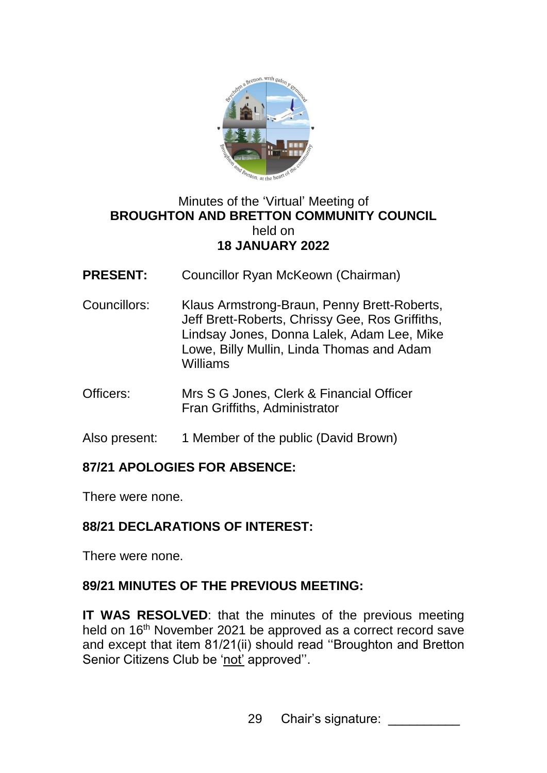

#### Minutes of the 'Virtual' Meeting of **BROUGHTON AND BRETTON COMMUNITY COUNCIL**  held on **18 JANUARY 2022**

- **PRESENT:** Councillor Ryan McKeown (Chairman)
- Councillors: Klaus Armstrong-Braun, Penny Brett-Roberts, Jeff Brett-Roberts, Chrissy Gee, Ros Griffiths, Lindsay Jones, Donna Lalek, Adam Lee, Mike Lowe, Billy Mullin, Linda Thomas and Adam Williams
- Officers: Mrs S G Jones, Clerk & Financial Officer Fran Griffiths, Administrator
- Also present: 1 Member of the public (David Brown)

## **87/21 APOLOGIES FOR ABSENCE:**

There were none.

## **88/21 DECLARATIONS OF INTEREST:**

There were none.

## **89/21 MINUTES OF THE PREVIOUS MEETING:**

**IT WAS RESOLVED:** that the minutes of the previous meeting held on 16<sup>th</sup> November 2021 be approved as a correct record save and except that item 81/21(ii) should read ''Broughton and Bretton Senior Citizens Club be 'not' approved''.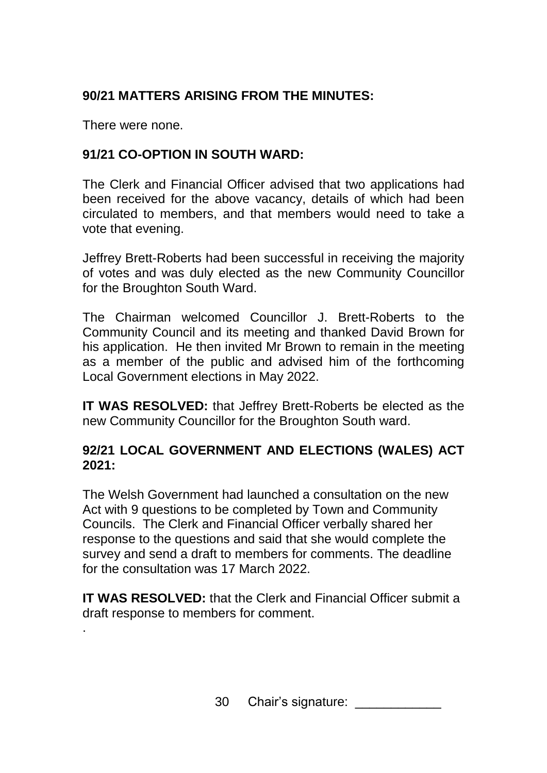# **90/21 MATTERS ARISING FROM THE MINUTES:**

There were none.

.

# **91/21 CO-OPTION IN SOUTH WARD:**

The Clerk and Financial Officer advised that two applications had been received for the above vacancy, details of which had been circulated to members, and that members would need to take a vote that evening.

Jeffrey Brett-Roberts had been successful in receiving the majority of votes and was duly elected as the new Community Councillor for the Broughton South Ward.

The Chairman welcomed Councillor J. Brett-Roberts to the Community Council and its meeting and thanked David Brown for his application. He then invited Mr Brown to remain in the meeting as a member of the public and advised him of the forthcoming Local Government elections in May 2022.

**IT WAS RESOLVED:** that Jeffrey Brett-Roberts be elected as the new Community Councillor for the Broughton South ward.

## **92/21 LOCAL GOVERNMENT AND ELECTIONS (WALES) ACT 2021:**

The Welsh Government had launched a consultation on the new Act with 9 questions to be completed by Town and Community Councils. The Clerk and Financial Officer verbally shared her response to the questions and said that she would complete the survey and send a draft to members for comments. The deadline for the consultation was 17 March 2022.

**IT WAS RESOLVED:** that the Clerk and Financial Officer submit a draft response to members for comment.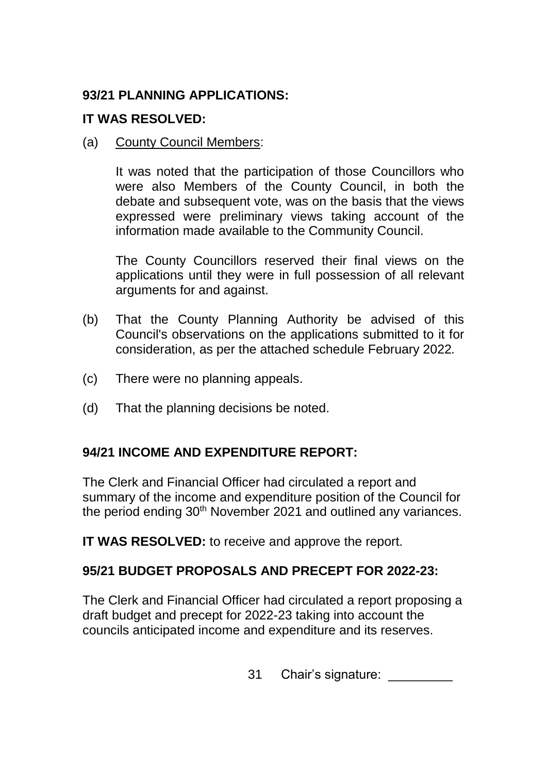## **93/21 PLANNING APPLICATIONS:**

#### **IT WAS RESOLVED:**

(a) County Council Members:

It was noted that the participation of those Councillors who were also Members of the County Council, in both the debate and subsequent vote, was on the basis that the views expressed were preliminary views taking account of the information made available to the Community Council.

The County Councillors reserved their final views on the applications until they were in full possession of all relevant arguments for and against.

- (b) That the County Planning Authority be advised of this Council's observations on the applications submitted to it for consideration, as per the attached schedule February 2022*.*
- (c) There were no planning appeals.
- (d) That the planning decisions be noted.

#### **94/21 INCOME AND EXPENDITURE REPORT:**

The Clerk and Financial Officer had circulated a report and summary of the income and expenditure position of the Council for the period ending 30th November 2021 and outlined any variances.

**IT WAS RESOLVED:** to receive and approve the report.

## **95/21 BUDGET PROPOSALS AND PRECEPT FOR 2022-23:**

The Clerk and Financial Officer had circulated a report proposing a draft budget and precept for 2022-23 taking into account the councils anticipated income and expenditure and its reserves.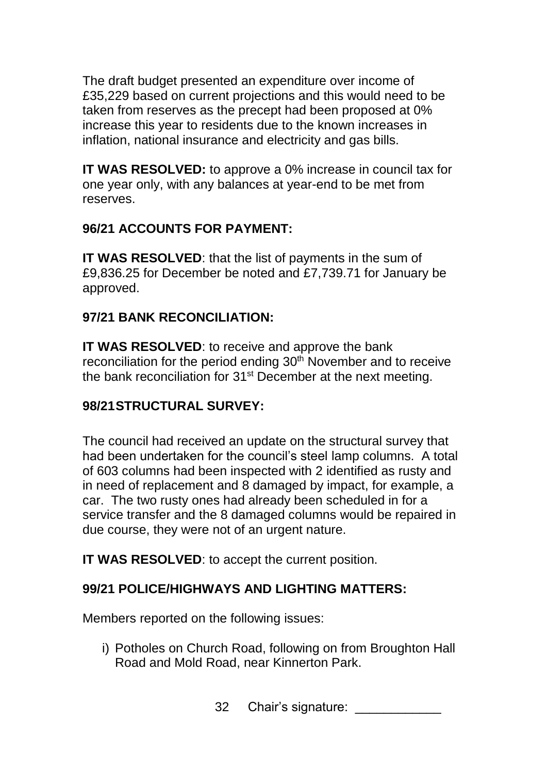The draft budget presented an expenditure over income of £35,229 based on current projections and this would need to be taken from reserves as the precept had been proposed at 0% increase this year to residents due to the known increases in inflation, national insurance and electricity and gas bills.

**IT WAS RESOLVED:** to approve a 0% increase in council tax for one year only, with any balances at year-end to be met from reserves.

#### **96/21 ACCOUNTS FOR PAYMENT:**

**IT WAS RESOLVED**: that the list of payments in the sum of £9,836.25 for December be noted and £7,739.71 for January be approved.

#### **97/21 BANK RECONCILIATION:**

**IT WAS RESOLVED:** to receive and approve the bank reconciliation for the period ending 30<sup>th</sup> November and to receive the bank reconciliation for 31<sup>st</sup> December at the next meeting.

## **98/21STRUCTURAL SURVEY:**

The council had received an update on the structural survey that had been undertaken for the council's steel lamp columns. A total of 603 columns had been inspected with 2 identified as rusty and in need of replacement and 8 damaged by impact, for example, a car. The two rusty ones had already been scheduled in for a service transfer and the 8 damaged columns would be repaired in due course, they were not of an urgent nature.

**IT WAS RESOLVED:** to accept the current position.

#### **99/21 POLICE/HIGHWAYS AND LIGHTING MATTERS:**

Members reported on the following issues:

- i) Potholes on Church Road, following on from Broughton Hall Road and Mold Road, near Kinnerton Park.
	- 32 Chair's signature: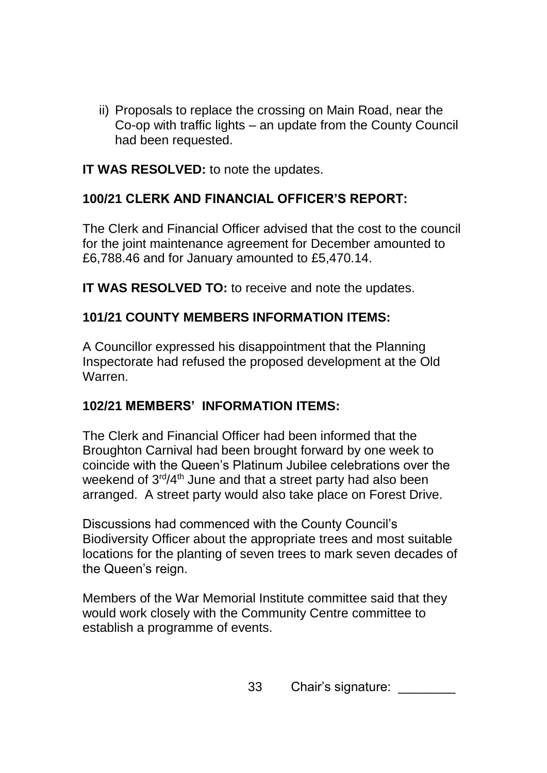ii) Proposals to replace the crossing on Main Road, near the Co-op with traffic lights – an update from the County Council had been requested.

#### **IT WAS RESOLVED:** to note the updates.

# **100/21 CLERK AND FINANCIAL OFFICER'S REPORT:**

The Clerk and Financial Officer advised that the cost to the council for the joint maintenance agreement for December amounted to £6,788.46 and for January amounted to £5,470.14.

**IT WAS RESOLVED TO:** to receive and note the updates.

## **101/21 COUNTY MEMBERS INFORMATION ITEMS:**

A Councillor expressed his disappointment that the Planning Inspectorate had refused the proposed development at the Old Warren.

## **102/21 MEMBERS' INFORMATION ITEMS:**

The Clerk and Financial Officer had been informed that the Broughton Carnival had been brought forward by one week to coincide with the Queen's Platinum Jubilee celebrations over the weekend of 3<sup>rd</sup>/4<sup>th</sup> June and that a street party had also been arranged. A street party would also take place on Forest Drive.

Discussions had commenced with the County Council's Biodiversity Officer about the appropriate trees and most suitable locations for the planting of seven trees to mark seven decades of the Queen's reign.

Members of the War Memorial Institute committee said that they would work closely with the Community Centre committee to establish a programme of events.